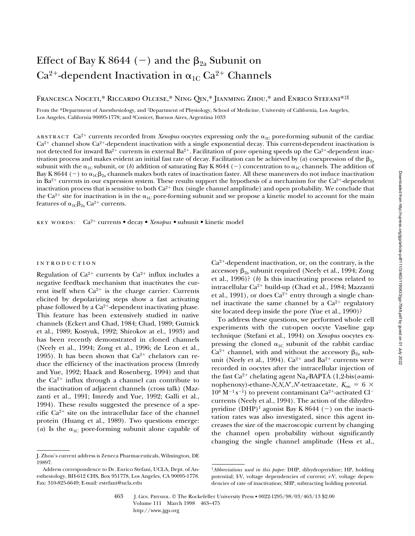# Effect of Bay K 8644 (-) and the  $\beta_{2a}$  Subunit on  $Ca^{2+}$ -dependent Inactivation in  $\alpha_{1C} Ca^{2+}$  Channels

# Francesca Noceti,\* Riccardo Olcese,\* Ning Qin,\* Jianming Zhou,\* and Enrico Stefani\*‡§

From the \*Department of Anesthesiology, and ‡Department of Physiology, School of Medicine, University of California, Los Angeles, Los Angeles, California 90095-1778; and §Conicet, Buenos Aires, Argentina 1033

ABSTRACT  $Ca^{2+}$  currents recorded from *Xenopus* oocytes expressing only the  $\alpha_{1C}$  pore-forming subunit of the cardiac  $Ca<sup>2+</sup>$  channel show  $Ca<sup>2+</sup>$ -dependent inactivation with a single exponential decay. This current-dependent inactivation is not detected for inward  $Ba^{2+}$  currents in external  $Ba^{2+}$ . Facilitation of pore opening speeds up the  $Ca^{2+}$ -dependent inactivation process and makes evident an initial fast rate of decay. Facilitation can be achieved by (*a*) coexpression of the  $\beta_{2a}$ subunit with the  $\alpha_{1C}$  subunit, or (*b*) addition of saturating Bay K 8644 (-) concentration to  $\alpha_{1C}$  channels. The addition of Bay K 8644 (-) to  $\alpha_{1c}\beta_{2a}$  channels makes both rates of inactivation faster. All these maneuvers do not induce inactivation in Ba<sup>2+</sup> currents in our expression system. These results support the hypothesis of a mechanism for the  $Ca^{2+}$ -dependent inactivation process that is sensitive to both  $Ca^{2+}$  flux (single channel amplitude) and open probability. We conclude that the  $Ca^{2+}$  site for inactivation is in the  $\alpha_{1C}$  pore-forming subunit and we propose a kinetic model to account for the main features of  $\alpha_{1C}\beta_{2a}$  Ca<sup>2+</sup> currents.

key words: Ca2<sup>1</sup> currents • decay • *Xenopus •* subunit • kinetic model

## introduction

Regulation of  $Ca^{2+}$  currents by  $Ca^{2+}$  influx includes a negative feedback mechanism that inactivates the current itself when  $Ca^{2+}$  is the charge carrier. Currents elicited by depolarizing steps show a fast activating phase followed by a  $Ca^{2+}$ -dependent inactivating phase. This feature has been extensively studied in native channels (Eckert and Chad, 1984; Chad, 1989; Gutnick et al., 1989; Kostyuk, 1992; Shirokov at el., 1993) and has been recently demonstrated in cloned channels (Neely et al., 1994; Zong et al., 1996; de Leon et al., 1995). It has been shown that  $Ca^{2+}$  chelators can reduce the efficiency of the inactivation process (Imredy and Yue, 1992; Haack and Rosenberg, 1994) and that the  $Ca^{2+}$  influx through a channel can contribute to the inactivation of adjacent channels (cross talk) (Mazzanti et al., 1991; Imredy and Yue, 1992; Galli et al., 1994). These results suggested the presence of a specific  $Ca^{2+}$  site on the intracellular face of the channel protein (Huang et al., 1989). Two questions emerge: (*a*) Is the  $\alpha_{1C}$  pore-forming subunit alone capable of

To address these questions, we performed whole cell experiments with the cut-open oocyte Vaseline gap technique (Stefani et al., 1994) on *Xenopus* oocytes expressing the cloned  $\alpha_{1C}$  subunit of the rabbit cardiac  $Ca^{2+}$  channel, with and without the accessory  $\beta_{2a}$  subunit (Neely et al., 1994).  $Ca^{2+}$  and  $Ba^{2+}$  currents were recorded in oocytes after the intracellular injection of the fast  $Ca^{2+}$  chelating agent Na<sub>4</sub>-BAPTA (1,2-bis( $o$ -aminophenoxy)-ethane-*N*,*N*,*N*<sup> $\prime$ </sup>,*N*<sup> $\prime$ </sup>-tetraacetate,  $K_{on} = 6 \times$  $10^8$  M<sup>-1</sup> s<sup>-1</sup>) to prevent contaminant Ca<sup>2+</sup>-activated Cl<sup>-</sup> currents (Neely et al., 1994). The action of the dihydropyridine (DHP)<sup>1</sup> agonist Bay K 8644 (-) on the inactivation rates was also investigated, since this agent increases the size of the macroscopic current by changing the channel open probability without significantly changing the single channel amplitude (Hess et al.,

J. Zhou's current address is Zeneca Pharmaceuticals, Wilmington, DE 19897.

Address correspondence to Dr. Enrico Stefani, UCLA, Dept. of Anesthesiology, BH-612 CHS, Box 951778, Los Angeles, CA 90095-1778. Fax: 310-825-6649; E-mail: estefani@ucla.edu

 $Ca<sup>2+</sup>$ -dependent inactivation, or, on the contrary, is the accessory  $\beta_{2a}$  subunit required (Neely et al., 1994; Zong et al., 1996)? (*b*) Is this inactivating process related to intracellular  $Ca^{2+}$  build-up (Chad et al., 1984; Mazzanti et al., 1991), or does  $Ca^{2+}$  entry through a single channel inactivate the same channel by a  $Ca^{2+}$  regulatory site located deep inside the pore (Yue et al., 1990)?

<sup>1</sup>*Abbreviations used in this paper:* DHP, dihydropyridine; HP, holding potential; I-V, voltage dependencies of current; r-V, voltage dependencies of rate of inactivation; SHP, subtracting holding potential.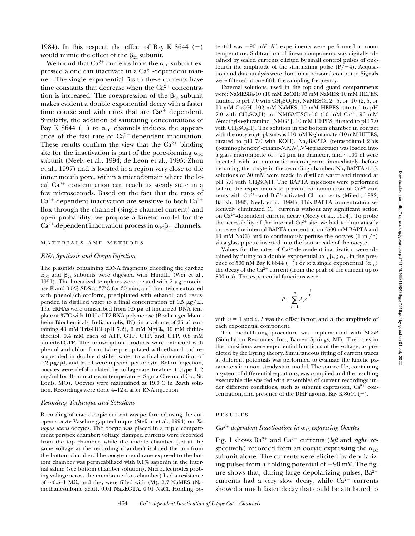1984). In this respect, the effect of Bay K 8644  $(-)$ would mimic the effect of the  $\beta_{2a}$  subunit.

We found that  $Ca^{2+}$  currents from the  $\alpha_{1C}$  subunit expressed alone can inactivate in a  $Ca^{2+}$ -dependent manner. The single exponential fits to these currents have time constants that decrease when the  $Ca^{2+}$  concentration is increased. The coexpression of the  $\beta_{2a}$  subunit makes evident a double exponential decay with a faster time course and with rates that are  $Ca^{2+}$  dependent. Similarly, the addition of saturating concentrations of Bay K 8644 (-) to  $\alpha_{1C}$  channels induces the appearance of the fast rate of  $Ca^{2+}$ -dependent inactivation. These results confirm the view that the  $Ca^{2+}$  binding site for the inactivation is part of the pore-forming  $\alpha_{1C}$ subunit (Neely et al., 1994; de Leon et al., 1995; Zhou et al., 1997) and is located in a region very close to the inner mouth pore, within a microdomain where the local  $Ca^{2+}$  concentration can reach its steady state in a few microseconds. Based on the fact that the rates of  $Ca<sup>2+</sup>$ -dependent inactivation are sensitive to both  $Ca<sup>2+</sup>$ flux through the channel (single channel current) and open probability, we propose a kinetic model for the Ca<sup>2+</sup>-dependent inactivation process in  $\alpha_{1C}\beta_{2a}$  channels.

## materials and methods

### *RNA Synthesis and Oocyte Injection*

The plasmids containing cDNA fragments encoding the cardiac  $\alpha_{1C}$  and  $\beta_{2a}$  subunits were digested with HindIII (Wei et al., 1991). The linearized templates were treated with  $2 \mu$ g proteinase K and 0.5% SDS at 37°C for 30 min, and then twice extracted with phenol/chloroform, precipitated with ethanol, and resuspended in distilled water to a final concentration of 0.5  $\mu$ g/ $\mu$ l. The cRNAs were transcribed from  $0.5 \mu$ g of linearized DNA template at 37°C with 10 U of T7 RNA polymerase (Boehringer Mannheim Biochemicals, Indianapolis, IN), in a volume of  $25 \mu l$  containing 40 mM Tris-HCl (pH  $7.2$ ), 6 mM  $MgCl<sub>2</sub>$ , 10 mM dithiothreitol, 0.4 mM each of ATP, GTP, CTP, and UTP, 0.8 mM 7-methyl-GTP. The transcription products were extracted with phenol and chloroform, twice precipitated with ethanol and resuspended in double distilled water to a final concentration of  $0.2 \mu g/\mu l$ , and 50 nl were injected per oocyte. Before injection, oocytes were defolliculated by collagenase treatment (type I, 2 mg/ml for 40 min at room temperature; Sigma Chemical Co., St. Louis, MO). Oocytes were maintained at  $19.0^{\circ}$ C in Barth solution. Recordings were done 4–12 d after RNA injection.

#### *Recording Technique and Solutions*

Recording of macroscopic current was performed using the cutopen oocyte Vaseline gap technique (Stefani et al., 1994) on *Xenopus laevis* oocytes. The oocyte was placed in a triple compartment perspex chamber; voltage clamped currents were recorded from the top chamber, while the middle chamber (set at the same voltage as the recording chamber) isolated the top from the bottom chamber. The oocyte membrane exposed to the bottom chamber was permeabilized with 0.1% saponin in the internal saline (see bottom chamber solution). Microelectrodes probing voltage across the membrane (top chamber) had a resistance of  $\sim$ 0.5–1 M $\Omega$ , and they were filled with (M): 2.7 NaMES (Namethanesulfonic acid), 0.01 Na<sub>2</sub>-EGTA, 0.01 NaCl. Holding potential was  $-90$  mV. All experiments were performed at room temperature. Subtraction of linear components was digitally obtained by scaled currents elicited by small control pulses of onefourth the amplitude of the stimulating pulse  $(P/-4)$ . Acquisition and data analysis were done on a personal computer. Signals were filtered at one-fifth the sampling frequency.

External solutions, used in the top and guard compartments were: NaMESBa-10 (10 mM BaOH; 96 mM NaMES; 10 mM HEPES, titrated to pH 7.0 with  $CH_3SO_3H$ ), NaMESCa-2, -5, or -10 (2, 5, or 10 mM CaOH, 102 mM NaMES, 10 mM HEPES, titrated to pH 7.0 with  $CH_3SO_3H$ ), or NMGMESCa-10 (10 mM  $Ca^{2+}$ , 96 mM *N*-methyl-p-glucamine [NMG<sup>+</sup>], 10 mM HEPES, titrated to pH 7.0 with  $CH_3SO_3H$ ). The solution in the bottom chamber in contact with the oocyte cytoplasm was 110 mM K-glutamate (10 mM HEPES, titrated to pH 7.0 with KOH). Na<sub>4</sub>-BAPTA (tetrasodium-1,2-bis (*o*-aminophenoxy)-ethane-*N*,*N*,*N*9,*N*9-tetraacetate) was loaded into a glass micropipette of  $\sim$ 20-µm tip diameter, and  $\sim$ 100 nl were injected with an automatic microinjector immediately before mounting the oocyte in the recording chamber.  $Na<sub>4</sub>-BAPTA$  stock solutions of 50 mM were made in distilled water and titrated at pH 7.0 with  $CH<sub>3</sub>SO<sub>3</sub>H$ . The BAPTA injections were performed before the experiments to prevent contamination of  $Ca^{2+}$  currents with Ca<sup>2+</sup>- and Ba<sup>2+</sup>-activated Cl<sup>-</sup> currents (Miledi, 1982; Barish, 1983; Neely et al., 1994). This BAPTA concentration selectively eliminated  $Cl^-$  currents without any significant action on Ca<sup>2+</sup>-dependent current decay (Neely et al., 1994). To probe the accessibility of the internal  $Ca^{2+}$  site, we had to dramatically increase the internal BAPTA concentration (500 mM BAPTA and 10 mM NaCl) and to continuously perfuse the oocytes (1 ml/h) via a glass pipette inserted into the bottom side of the oocyte.

Values for the rates of  $Ca^{2+}$ -dependent inactivation were obtained by fitting to a double exponential ( $\alpha_{1C}\beta_{2a}$ ;  $\alpha_{1C}$  in the presence of 500 nM Bay K 8644 (-)) or to a single exponential  $(\alpha_{1C})$ the decay of the  $Ca^{2+}$  current (from the peak of the current up to 800 ms). The exponential functions were

$$
P + \sum_{i=1}^{n} A_i e^{-\frac{t}{\tau_i}}
$$

with  $n = 1$  and 2. *P* was the offset factor, and  $A_i$  the amplitude of each exponential component.

The model-fitting procedure was implemented with SCoP (Simulation Resources, Inc., Barren Springs, MI). The rates in the transitions were exponential functions of the voltage, as predicted by the Eyring theory. Simultaneous fitting of current traces at different potentials was performed to evaluate the kinetic parameters in a non–steady state model. The source file, containing a system of differential equations, was compiled and the resulting executable file was fed with ensembles of current recordings under different conditions, such as subunit expression,  $Ca^{2+}$  concentration, and presence of the DHP agonist Bay K 8644  $(-)$ .

### **RESULTS**

## $Ca^{2+}$ -dependent Inactivation in  $\alpha_{1C}$ -expressing Oocytes

Fig. 1 shows  $Ba^{2+}$  and  $Ca^{2+}$  currents (*left* and *right*, respectively) recorded from an oocyte expressing the  $\alpha_{1C}$ subunit alone. The currents were elicited by depolarizing pulses from a holding potential of  $-90$  mV. The figure shows that, during large depolarizing pulses,  $Ba^{2+}$ currents had a very slow decay, while  $Ca^{2+}$  currents showed a much faster decay that could be attributed to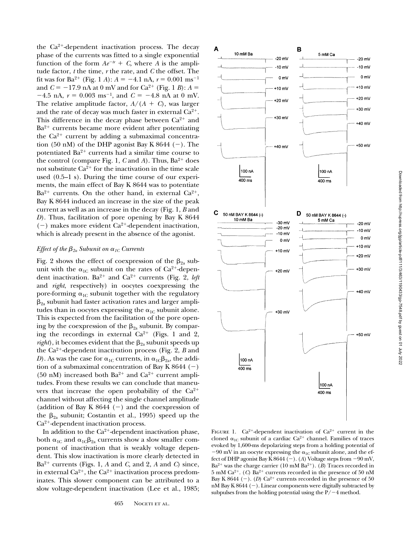the  $Ca^{2+}$ -dependent inactivation process. The decay phase of the currents was fitted to a single exponential function of the form  $Ae^{-tr} + C$ , where *A* is the amplitude factor, *t* the time, *r* the rate, and *C* the offset. The fit was for Ba<sup>2+</sup> (Fig. 1 *A*):  $A = -4.1$  nA,  $r = 0.001$  ms<sup>-1</sup> and  $C = -17.9$  nA at 0 mV and for Ca<sup>2+</sup> (Fig. 1 *B*):  $A =$  $-4.5$  nA,  $r = 0.003$  ms<sup>-1</sup>, and  $C = -4.8$  nA at 0 mV. The relative amplitude factor,  $A/(A + C)$ , was larger and the rate of decay was much faster in external  $Ca^{2+}$ . This difference in the decay phase between  $Ca^{2+}$  and  $Ba^{2+}$  currents became more evident after potentiating the  $Ca^{2+}$  current by adding a submaximal concentration (50 nM) of the DHP agonist Bay K 8644 (-). The potentiated  $Ba^{2+}$  currents had a similar time course to the control (compare Fig. 1, *C* and *A*). Thus, Ba<sup>2+</sup> does not substitute  $Ca^{2+}$  for the inactivation in the time scale used (0.5–1 s). During the time course of our experiments, the main effect of Bay K 8644 was to potentiate  $Ba^{2+}$  currents. On the other hand, in external  $Ca^{2+}$ , Bay K 8644 induced an increase in the size of the peak current as well as an increase in the decay (Fig. 1, *B* and *D*). Thus, facilitation of pore opening by Bay K 8644  $(-)$  makes more evident Ca<sup>2+</sup>-dependent inactivation, which is already present in the absence of the agonist.

## *Effect of the*  $\beta_{2a}$  *Subunit on*  $\alpha_{1c}$  *Currents*

Fig. 2 shows the effect of coexpression of the  $\beta_{2a}$  subunit with the  $\alpha_{1C}$  subunit on the rates of Ca<sup>2+</sup>-dependent inactivation.  $Ba^{2+}$  and  $Ca^{2+}$  currents (Fig. 2, *left* and *right*, respectively) in oocytes coexpressing the pore-forming  $\alpha_{1C}$  subunit together with the regulatory  $\beta_{2a}$  subunit had faster activation rates and larger amplitudes than in oocytes expressing the  $\alpha_{1C}$  subunit alone. This is expected from the facilitation of the pore opening by the coexpression of the  $\beta_{2a}$  subunit. By comparing the recordings in external  $Ca^{2+}$  (Figs. 1 and 2,  $right)$ , it becomes evident that the  $\beta_{2a}$  subunit speeds up the  $Ca^{2+}$ -dependent inactivation process (Fig. 2, *B* and *D*). As was the case for  $\alpha_{1C}$  currents, in  $\alpha_{1C}\beta_{2a}$ , the addition of a submaximal concentration of Bay K 8644  $(-)$ (50 nM) increased both  $Ba^{2+}$  and  $Ca^{2+}$  current amplitudes. From these results we can conclude that maneuvers that increase the open probability of the  $Ca^{2+}$ channel without affecting the single channel amplitude (addition of Bay K 8644  $(-)$  and the coexpression of the  $\beta_{2a}$  subunit; Costantin et al., 1995) speed up the  $Ca<sup>2+</sup>$ -dependent inactivation process.

In addition to the  $Ca^{2+}$ -dependent inactivation phase, both  $\alpha_{1C}$  and  $\alpha_{1C}\beta_{2a}$  currents show a slow smaller component of inactivation that is weakly voltage dependent. This slow inactivation is more clearly detected in  $Ba^{2+}$  currents (Figs. 1, *A* and *C*, and 2, *A* and *C*) since, in external  $Ca^{2+}$ , the  $Ca^{2+}$  inactivation process predominates. This slower component can be attributed to a slow voltage-dependent inactivation (Lee et al., 1985;



FIGURE 1.  $Ca^{2+}$ -dependent inactivation of  $Ca^{2+}$  current in the cloned  $\alpha_{1C}$  subunit of a cardiac Ca<sup>2+</sup> channel. Families of traces evoked by 1,600-ms depolarizing steps from a holding potential of  $-90$  mV in an oocyte expressing the  $\alpha_{1C}$  subunit alone, and the effect of DHP agonist Bay K  $8644$  (-). (*A*) Voltage steps from  $-90$  mV,  $Ba^{2+}$  was the charge carrier (10 mM  $Ba^{2+}$ ). (*B*) Traces recorded in 5 mM Ca<sup>2+</sup>. (*C*) Ba<sup>2+</sup> currents recorded in the presence of 50 nM Bay K 8644  $(-)$ . (*D*) Ca<sup>2+</sup> currents recorded in the presence of 50  $nM$  Bay K 8644 (-). Linear components were digitally subtracted by subpulses from the holding potential using the  $P/-4$  method.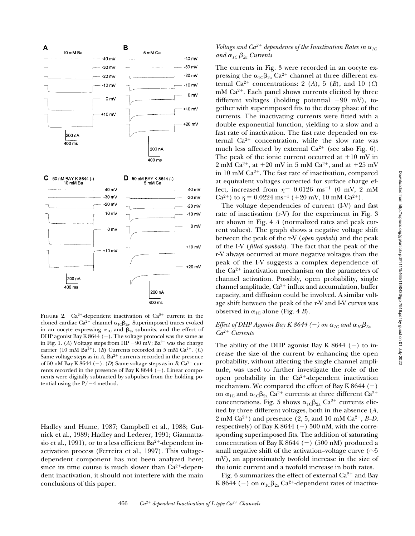

FIGURE 2.  $Ca^{2+}$ -dependent inactivation of  $Ca^{2+}$  current in the cloned cardiac Ca<sup>2+</sup> channel  $\alpha_{1C}\beta_{2a}$ . Superimposed traces evoked in an oocyte expressing  $\alpha_{1C}$  and  $\beta_{2a}$  subunits, and the effect of DHP agonist Bay K 8644  $(-)$ . The voltage protocol was the same as in Fig. 1. (*A*) Voltage steps from HP  $-90$  mV; Ba<sup>2+</sup> was the charge carrier (10 mM Ba<sup>2+</sup>). (*B*) Currents recorded in 5 mM Ca<sup>2+</sup>. (*C*) Same voltage steps as in  $A$ ,  $Ba^{2+}$  currents recorded in the presence of 50 nM Bay K 8644 (-). (*D*) Same voltage steps as in *B*,  $Ca^{2+}$  currents recorded in the presence of Bay K 8644  $(-)$ . Linear components were digitally subtracted by subpulses from the holding potential using the  $P/-4$  method.

Hadley and Hume, 1987; Campbell et al., 1988; Gutnick et al., 1989; Hadley and Lederer, 1991; Giannattasio et al., 1991), or to a less efficient  $Ba^{2+}$ -dependent inactivation process (Ferreira et al., 1997). This voltagedependent component has not been analyzed here; since its time course is much slower than  $Ca^{2+}$ -dependent inactivation, it should not interfere with the main conclusions of this paper.

# *Voltage and Ca*<sup>2+</sup> dependence of the Inactivation Rates in  $\alpha_{1C}$ *and*  $\alpha_{1C} \beta_{2a}$  *Currents*

The currents in Fig. 3 were recorded in an oocyte expressing the  $\alpha_{1C}\beta_{2a}$  Ca<sup>2+</sup> channel at three different external  $\bar{C}a^{2+}$  concentrations: 2 (A), 5 (B), and 10 (C)  $mM$  Ca<sup>2+</sup>. Each panel shows currents elicited by three different voltages (holding potential  $-90$  mV), together with superimposed fits to the decay phase of the currents. The inactivating currents were fitted with a double exponential function, yielding to a slow and a fast rate of inactivation. The fast rate depended on external  $Ca^{2+}$  concentration, while the slow rate was much less affected by external  $Ca^{2+}$  (see also Fig. 6). The peak of the ionic current occurred at  $+10$  mV in 2 mM Ca<sup>2+</sup>, at  $+20$  mV in 5 mM Ca<sup>2+</sup>, and at  $+25$  mV in 10 mM  $Ca^{2+}$ . The fast rate of inactivation, compared at equivalent voltages corrected for surface charge effect, increased from  $r_f = 0.0126 \text{ ms}^{-1}$  (0 mV, 2 mM Ca<sup>2+</sup>) to  $r_f = 0.0224 \text{ ms}^{-1}$  (+20 mV, 10 mM Ca<sup>2+</sup>).

The voltage dependencies of current (I-V) and fast rate of inactivation (r-V) for the experiment in Fig. 3 are shown in Fig. 4 *A* (normalized rates and peak current values). The graph shows a negative voltage shift between the peak of the r-V (*open symbols*) and the peak of the I-V (*filled symbols*). The fact that the peak of the r-V always occurred at more negative voltages than the peak of the I-V suggests a complex dependence of the  $Ca^{2+}$  inactivation mechanism on the parameters of channel activation. Possibly, open probability, single channel amplitude,  $Ca^{2+}$  influx and accumulation, buffer capacity, and diffusion could be involved. A similar voltage shift between the peak of the r-V and I-V curves was observed in  $\alpha_{1C}$  alone (Fig. 4 *B*).

# *Effect of DHP Agonist Bay K 8644 (-) on*  $\alpha_{1C}$  *and*  $\alpha_{1C}\beta_{2a}$ *Ca2*1 *Currents*

The ability of the DHP agonist Bay K 8644  $(-)$  to increase the size of the current by enhancing the open probability, without affecting the single channel amplitude, was used to further investigate the role of the open probability in the  $Ca^{2+}$ -dependent inactivation mechanism. We compared the effect of Bay K 8644  $(-)$ on  $\alpha_{1C}$  and  $\alpha_{1C}\beta_{2a}$  Ca<sup>2+</sup> currents at three different Ca<sup>2+</sup> concentrations. Fig. 5 shows  $\alpha_{1C}\beta_{2a}$  Ca<sup>2+</sup> currents elicited by three different voltages, both in the absence (*A*, 2 mM  $Ca^{2+}$ ) and presence (2, 5, and 10 mM  $Ca^{2+}$ , *B–D*, respectively) of Bay K 8644 (-) 500 nM, with the corresponding superimposed fits. The addition of saturating concentration of Bay K 8644 (-) (500 nM) produced a small negative shift of the activation–voltage curve ( $\sim$ 5 mV), an approximately twofold increase in the size of the ionic current and a twofold increase in both rates.

Fig. 6 summarizes the effect of external  $Ca^{2+}$  and Bay K 8644 (-) on  $\alpha_{1C}\beta_{2a}$  Ca<sup>2+</sup>-dependent rates of inactiva-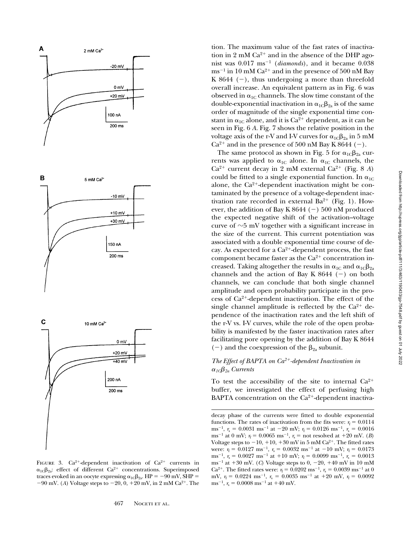

FIGURE 3.  $Ca^{2+}$ -dependent inactivation of  $Ca^{2+}$  currents in  $\alpha_{1C}\beta_{2a}$ : effect of different Ca<sup>2+</sup> concentrations. Superimposed traces evoked in an oocyte expressing  $\alpha_{1C}\beta_{2a}$ . HP = -90 mV, SHP =  $-90$  mV. (*A*) Voltage steps to  $-20$ , 0,  $+20$  mV, in 2 mM Ca<sup>2+</sup>. The

tion. The maximum value of the fast rates of inactivation in 2 mM  $Ca^{2+}$  and in the absence of the DHP agonist was  $0.017 \text{ ms}^{-1}$  (*diamonds*), and it became  $0.038$  $\text{ms}^{-1}$  in 10 mM Ca<sup>2+</sup> and in the presence of 500 nM Bay K 8644  $(-)$ , thus undergoing a more than threefold overall increase. An equivalent pattern as in Fig. 6 was observed in  $\alpha_{1C}$  channels. The slow time constant of the double-exponential inactivation in  $\alpha_{1C}\beta_{2a}$  is of the same order of magnitude of the single exponential time constant in  $\alpha_{1C}$  alone, and it is Ca<sup>2+</sup> dependent, as it can be seen in Fig. 6 *A*. Fig. 7 shows the relative position in the voltage axis of the r-V and I-V curves for  $\alpha_{1C}\beta_{2a}$  in 5 mM  $Ca^{2+}$  and in the presence of 500 nM Bay K 8644 (-).

The same protocol as shown in Fig. 5 for  $\alpha_{1C}\beta_{2a}$  currents was applied to  $\alpha_{1C}$  alone. In  $\alpha_{1C}$  channels, the  $Ca^{2+}$  current decay in 2 mM external  $Ca^{2+}$  (Fig. 8 *A*) could be fitted to a single exponential function. In  $\alpha_{1C}$ alone, the  $Ca^{2+}$ -dependent inactivation might be contaminated by the presence of a voltage-dependent inactivation rate recorded in external  $Ba^{2+}$  (Fig. 1). However, the addition of Bay K 8644  $(-)$  500 nM produced the expected negative shift of the activation–voltage curve of  $\sim$ 5 mV together with a significant increase in the size of the current. This current potentiation was associated with a double exponential time course of decay. As expected for a  $Ca^{2+}$ -dependent process, the fast component became faster as the  $Ca^{2+}$  concentration increased. Taking altogether the results in  $\alpha_{1C}$  and  $\alpha_{1C}\beta_{2a}$ channels and the action of Bay K  $8644$  (-) on both channels, we can conclude that both single channel amplitude and open probability participate in the process of  $Ca^{2+}$ -dependent inactivation. The effect of the single channel amplitude is reflected by the  $Ca^{2+}$  dependence of the inactivation rates and the left shift of the r-V vs. I-V curves, while the role of the open probability is manifested by the faster inactivation rates after facilitating pore opening by the addition of Bay K 8644 (-) and the coexpression of the  $\beta_{2a}$  subunit.

# *The Effect of BAPTA on Ca2*1*-dependent Inactivation in*   $\alpha_{1C}\beta_{2a}$  Currents

To test the accessibility of the site to internal  $Ca^{2+}$ buffer, we investigated the effect of perfusing high BAPTA concentration on the  $Ca^{2+}$ -dependent inactiva-

decay phase of the currents were fitted to double exponential functions. The rates of inactivation from the fits were:  $r<sub>f</sub> = 0.0114$ ms<sup>-1</sup>,  $r_s = 0.0031 \text{ ms}^{-1}$  at -20 mV;  $r_f = 0.0126 \text{ ms}^{-1}$ ,  $r_s = 0.0016$ ms<sup>-1</sup> at 0 mV;  $r_f = 0.0065$  ms<sup>-1</sup>,  $r_s =$  not resolved at +20 mV. (*B*) Voltage steps to  $-10$ ,  $+10$ ,  $+30$  mV in 5 mM Ca<sup>2+</sup>. The fitted rates were:  $r_f = 0.0127 \text{ ms}^{-1}$ ,  $r_s = 0.0032 \text{ ms}^{-1}$  at  $-10 \text{ mV}$ ;  $r_f = 0.0173$ ms<sup>-1</sup>,  $r_s = 0.0027 \text{ ms}^{-1} \text{ at } +10 \text{ mV};$   $r_f = 0.0099 \text{ ms}^{-1},$   $r_s = 0.0013$ ms<sup>-1</sup> at +30 mV. (*C*) Voltage steps to 0, -20, +40 mV in 10 mM Ca<sup>2+</sup>. The fitted rates were:  $r_f = 0.0202$  ms<sup>-1</sup>,  $r_s = 0.0039$  ms<sup>-1</sup> at 0 mV,  $r_f = 0.0224 \text{ ms}^{-1}$ ,  $r_s = 0.0035 \text{ ms}^{-1}$  at  $+20 \text{ mV}$ ,  $r_f = 0.0092$ ms<sup>-1</sup>,  $r_s = 0.0008 \text{ ms}^{-1}$  at  $+40 \text{ mV}$ .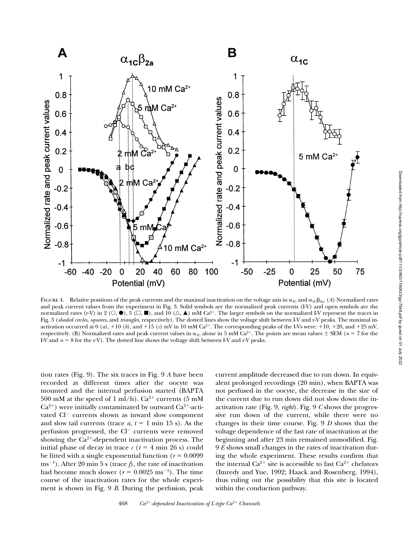

FIGURE 4. Relative positions of the peak currents and the maximal inactivation on the voltage axis in  $\alpha_{1C}$  and  $\alpha_{1C}\beta_{2a}$ . (*A*) Normalized rates and peak current values from the experiment in Fig. 3. Solid symbols are the normalized peak currents (I-V) and open symbols are the normalized rates (r-V) in 2 ( $\circ$ ,  $\bullet$ ),  $\circ$  ( $\Box$ ,  $\blacksquare$ ), and 10 ( $\triangle$ ,  $\blacktriangle$ ) mM Ca<sup>2+</sup>. The larger symbols on the normalized I-V represent the traces in Fig. 3 (*shaded circles, squares*, and *triangles*, respectively). The dotted lines show the voltage shift between I-V and r-V peaks. The maximal inactivation occurred at 0 (*a*), +10 (*b*), and +15 (*c*) mV in 10 mM Ca<sup>2+</sup>. The corresponding peaks of the I-Vs were: +10, +20, and +25 mV, respectively. (B) Normalized rates and peak current values in  $\alpha_{1C}$  alone in 5 mM Ca<sup>2+</sup>. The points are mean values  $\pm$  SEM (*n* = 7 for the I-V and  $n = 8$  for the r-V). The dotted line shows the voltage shift between I-V and r-V peaks.

tion rates (Fig. 9). The six traces in Fig. 9 *A* have been recorded at different times after the oocyte was mounted and the internal perfusion started (BAPTA 500 mM at the speed of 1 ml/h).  $Ca^{2+}$  currents (5 mM  $Ca^{2+}$ ) were initially contaminated by outward  $Ca^{2+}$ -activated Cl<sup>-</sup> currents shown as inward slow component and slow tail currents (trace  $a, t = 1$  min 15 s). As the perfusion progressed, the Cl<sup>-</sup> currents were removed showing the  $Ca^{2+}$ -dependent inactivation process. The initial phase of decay in trace  $c$  ( $t = 4$  min 26 s) could be fitted with a single exponential function  $(r = 0.0099)$ ms<sup>-1</sup>). After 20 min 5 s (trace  $f$ ), the rate of inactivation had become much slower ( $r = 0.0025$  ms<sup>-1</sup>). The time course of the inactivation rates for the whole experiment is shown in Fig. 9 *B*. During the perfusion, peak

current amplitude decreased due to run down. In equivalent prolonged recordings (20 min), when BAPTA was not perfused in the oocyte, the decrease in the size of the current due to run down did not slow down the inactivation rate (Fig. 9, *right*). Fig. 9 *C* shows the progressive run down of the current, while there were no changes in their time course. Fig. 9 *D* shows that the voltage dependence of the fast rate of inactivation at the beginning and after 23 min remained unmodified. Fig. 9 *E* shows small changes in the rates of inactivation during the whole experiment. These results confirm that the internal  $Ca^{2+}$  site is accessible to fast  $Ca^{2+}$  chelators (Imredy and Yue, 1992; Haack and Rosenberg, 1994), thus ruling out the possibility that this site is located within the conduction pathway.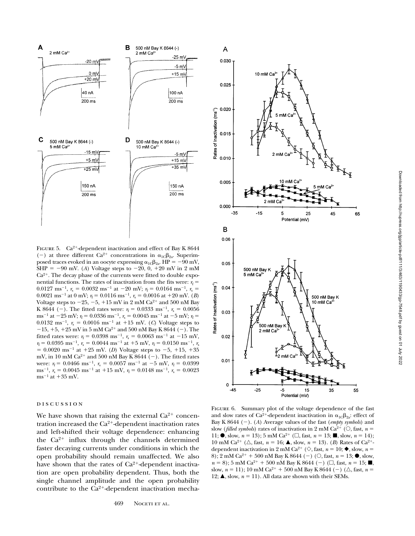

FIGURE 5.  $Ca^{2+}$ -dependent inactivation and effect of Bay K 8644 (-) at three different Ca<sup>2+</sup> concentrations in  $\alpha_{1C}\beta_{2a}$ . Superimposed traces evoked in an oocyte expressing  $\alpha_{1C}\beta_{2a}$ . HP = -90 mV,  $SHP = -90$  mV. (*A*) Voltage steps to  $-20$ , 0,  $+20$  mV in 2 mM  $Ca<sup>2+</sup>$ . The decay phase of the currents were fitted to double exponential functions. The rates of inactivation from the fits were:  $r_f$  = 0.0127 ms<sup>-1</sup>,  $r_s = 0.0032$  ms<sup>-1</sup> at -20 mV;  $r_f = 0.0164$  ms<sup>-1</sup>,  $r_s =$ 0.0021 ms<sup>-1</sup> at 0 mV;  $r_f = 0.0116$  ms<sup>-1</sup>,  $r_s = 0.0016$  at +20 mV. (*B*) Voltage steps to  $-25$ ,  $-5$ ,  $+15$  mV in 2 mM Ca<sup>2+</sup> and 500 nM Bay K 8644 (-). The fitted rates were:  $r_f = 0.0333 \text{ ms}^{-1}$ ,  $r_s = 0.0056$ ms<sup>-1</sup> at -25 mV;  $r_f = 0.0336$  ms<sup>-1</sup>,  $r_s = 0.0045$  ms<sup>-1</sup> at -5 mV;  $r_f =$ 0.0132 ms<sup>-1</sup>,  $r_s = 0.0016$  ms<sup>-1</sup> at +15 mV. (*C*) Voltage steps to  $-15$ ,  $+5$ ,  $+25$  mV in 5 mM Ca<sup>2+</sup> and 500 nM Bay K 8644 (-). The fitted rates were:  $r_f = 0.0398 \text{ ms}^{-1}$ ,  $r_s = 0.0063 \text{ ms}^{-1}$  at  $-15 \text{ mV}$ ,  $r_f = 0.0395 \text{ ms}^{-1}$ ,  $r_s = 0.0044 \text{ ms}^{-1}$  at  $+5 \text{ mV}$ ,  $r_f = 0.0150 \text{ ms}^{-1}$ ,  $r_s$  $= 0.0020 \text{ ms}^{-1}$  at  $+25 \text{ mV}$ . (*D*) Voltage steps to  $-5$ ,  $+15$ ,  $+35$ mV, in 10 mM Ca<sup>2+</sup> and 500 nM Bay K  $8644$  (-). The fitted rates were:  $r_f = 0.0466 \text{ ms}^{-1}$ ,  $r_s = 0.0057 \text{ ms}^{-1}$  at  $-5 \text{ mV}$ ,  $r_f = 0.0399$ ms<sup>-1</sup>,  $r_s = 0.0045 \text{ ms}^{-1} \text{ at } +15 \text{ mV}, r_f = 0.0148 \text{ ms}^{-1}, r_s = 0.0023$  $ms^{-1}$  at  $+35$  mV.

## discussion

We have shown that raising the external  $Ca^{2+}$  concentration increased the  $Ca^{2+}$ -dependent inactivation rates and left-shifted their voltage dependence: enhancing the  $Ca^{2+}$  influx through the channels determined faster decaying currents under conditions in which the open probability should remain unaffected. We also have shown that the rates of  $Ca^{2+}$ -dependent inactivation are open probability dependent. Thus, both the single channel amplitude and the open probability contribute to the  $Ca^{2+}$ -dependent inactivation mecha-



 $\overline{A}$ 

FIGURE 6. Summary plot of the voltage dependence of the fast and slow rates of Ca<sup>2+</sup>-dependent inactivation in  $\alpha_{1C}\beta_{2a}$ : effect of Bay K 8644 (2). (*A*) Average values of the fast (*empty symbols*) and slow (*filled symbols*) rates of inactivation in 2 mM Ca<sup>2+</sup> ( $\circ$ ), fast, *n* = 11;  $\bullet$ , slow,  $n = 13$ ; 5 mM Ca<sup>2+</sup> ( $\Box$ , fast,  $n = 13$ ;  $\blacksquare$ , slow,  $n = 14$ ); 10 mM Ca<sup>2+</sup> ( $\triangle$ , fast,  $n = 16$ ;  $\triangle$ , slow,  $n = 13$ ). (*B*) Rates of Ca<sup>2+</sup>dependent inactivation in 2 mM Ca<sup>2+</sup> ( $\diamond$ , fast, *n* = 10;  $\blacklozenge$ , slow, *n* = 8); 2 mM Ca<sup>2+</sup> + 500 nM Bay K 8644 (-) ( $\circ$ , fast, *n* = 13;  $\bullet$ , slow,  $n = 8$ ); 5 mM Ca<sup>2+</sup> + 500 nM Bay K 8644 (-) ( $\Box$ , fast,  $n = 15$ ;  $\blacksquare$ , slow,  $n = 11$ ); 10 mM Ca<sup>2+</sup> + 500 nM Bay K 8644 (-) ( $\triangle$ , fast,  $n =$ 12;  $\blacktriangle$ , slow,  $n = 11$ ). All data are shown with their SEMs.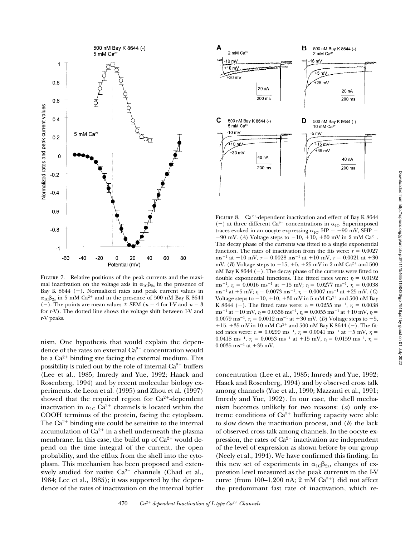

FIGURE 7. Relative positions of the peak currents and the maximal inactivation on the voltage axis in  $\alpha_{1C}\beta_{2a}$  in the presence of Bay K 8644  $(-)$ . Normalized rates and peak current values in  $\alpha_{1C}\beta_{2a}$  in 5 mM Ca<sup>2+</sup> and in the presence of 500 nM Bay K 8644 (-). The points are mean values  $\pm$  SEM ( $n = 4$  for I-V and  $n = 3$ for r-V). The dotted line shows the voltage shift between I-V and r-V peaks.

nism. One hypothesis that would explain the dependence of the rates on external  $Ca^{2+}$  concentration would be a  $Ca^{2+}$  binding site facing the external medium. This possibility is ruled out by the role of internal  $Ca^{2+}$  buffers (Lee et al., 1985; Imredy and Yue, 1992; Haack and Rosenberg, 1994) and by recent molecular biology experiments. de Leon et al. (1995) and Zhou et al. (1997) showed that the required region for  $Ca^{2+}$ -dependent inactivation in  $\alpha_{1C}$  Ca<sup>2+</sup> channels is located within the COOH terminus of the protein, facing the cytoplasm. The  $Ca^{2+}$  binding site could be sensitive to the internal accumulation of  $Ca^{2+}$  in a shell underneath the plasma membrane. In this case, the build up of  $Ca^{2+}$  would depend on the time integral of the current, the open probability, and the efflux from the shell into the cytoplasm. This mechanism has been proposed and extensively studied for native  $Ca^{2+}$  channels (Chad et al., 1984; Lee et al., 1985); it was supported by the dependence of the rates of inactivation on the internal buffer



FIGURE 8.  $Ca^{2+}$ -dependent inactivation and effect of Bay K 8644 (-) at three different Ca<sup>2+</sup> concentrations in  $\alpha_{1C}$ . Superimposed traces evoked in an oocyte expressing  $\alpha_{1C}$ . HP = -90 mV, SHP =  $-90$  mV. (*A*) Voltage steps to  $-10$ ,  $+10$ ,  $+30$  mV in 2 mM Ca<sup>2+</sup>. The decay phase of the currents was fitted to a single exponential function. The rates of inactivation from the fits were:  $r = 0.0027$ ms<sup>-1</sup> at  $-10$  mV,  $r = 0.0028$  ms<sup>-1</sup> at  $+10$  mV,  $r = 0.0021$  at  $+30$ mV. (*B*) Voltage steps to  $-15$ ,  $+5$ ,  $+25$  mV in 2 mM Ca<sup>2+</sup> and 500 nM Bay K 8644  $(-)$ . The decay phase of the currents were fitted to double exponential functions. The fitted rates were:  $r_f = 0.0192$ ms<sup>-1</sup>,  $r_s = 0.0016$  ms<sup>-1</sup> at -15 mV;  $r_f = 0.0277$  ms<sup>-1</sup>,  $r_s = 0.0038$  $ms^{-1}$  at +5 mV;  $r_f = 0.0073$  ms<sup>-1</sup>,  $r_s = 0.0007$  ms<sup>-1</sup> at +25 mV. (*C*) Voltage steps to  $-10$ ,  $+10$ ,  $+30$  mV in 5 mM Ca<sup>2+</sup> and 500 nM Bay K 8644 (-). The fitted rates were:  $r_f = 0.0255$  ms<sup>-1</sup>,  $r_s = 0.0038$ ms<sup>-1</sup> at  $-10$  mV,  $r_f = 0.0356$  ms<sup>-1</sup>,  $r_s = 0.0055$  ms<sup>-1</sup> at  $+10$  mV,  $r_f =$ 0.0079 ms<sup>-1</sup>,  $r_s = 0.0012$  ms<sup>-1</sup> at +30 mV. (*D*) Voltage steps to -5, +15, +35 mV in 10 mM Ca<sup>2+</sup> and 500 nM Bay K 8644 (-). The fitted rates were:  $r_f = 0.0299$  ms<sup>-1</sup>,  $r_s = 0.0041$  ms<sup>-1</sup> at -5 mV,  $r_f =$ 0.0418 ms<sup>-1</sup>,  $r_s = 0.0053$  ms<sup>-1</sup> at +15 mV,  $r_f = 0.0159$  ms<sup>-1</sup>,  $r_s =$  $0.0035$  ms<sup>-1</sup> at +35 mV.

concentration (Lee et al., 1985; Imredy and Yue, 1992; Haack and Rosenberg, 1994) and by observed cross talk among channels (Yue et al., 1990; Mazzanti et al., 1991; Imredy and Yue, 1992). In our case, the shell mechanism becomes unlikely for two reasons: (*a*) only extreme conditions of  $Ca^{2+}$  buffering capacity were able to slow down the inactivation process, and (*b*) the lack of observed cross talk among channels. In the oocyte expression, the rates of  $Ca^{2+}$  inactivation are independent of the level of expression as shown before by our group (Neely et al., 1994). We have confirmed this finding. In this new set of experiments in  $\alpha_{1C}\beta_{2a}$ , changes of expression level measured as the peak currents in the I-V curve (from 100–1,200 nA; 2 mM  $Ca^{2+}$ ) did not affect the predominant fast rate of inactivation, which re-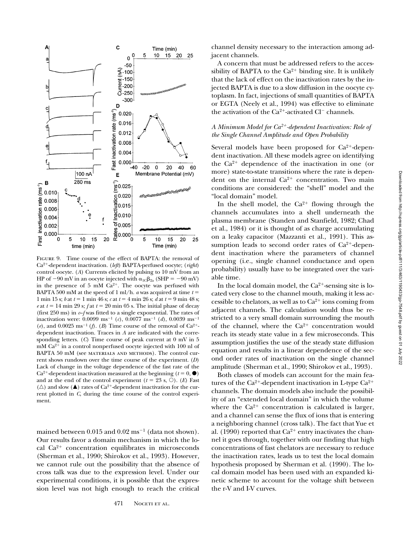

Figure 9. Time course of the effect of BAPTA: the removal of Ca2<sup>1</sup>-dependent inactivation. (*left*) BAPTA-perfused oocyte; (*right*) control oocyte. (*A*) Currents elicited by pulsing to 10 mV from an HP of  $-90$  mV in an oocyte injected with  $\alpha_{1C}\beta_{2a}$  (SHP =  $-90$  mV) in the presence of 5 mM  $Ca^{2+}$ . The oocyte was perfused with BAPTA 500 mM at the speed of 1 ml/h. *a* was acquired at time  $t =$ 1 min 15 s; *b* at  $t = 1$  min 46 s; *c* at  $t = 4$  min 26 s; *d* at  $t = 9$  min 48 s; *e* at  $t = 14$  min 29 s;  $f$  at  $t = 20$  min 05 s. The initial phase of decay (first 250 ms) in *c*–*f* was fitted to a single exponential. The rates of inactivation were:  $0.0099 \text{ ms}^{-1}$  (*c*),  $0.0077 \text{ ms}^{-1}$  (*d*),  $0.0039 \text{ ms}^{-1}$ (*e*), and 0.0025 ms<sup>-1</sup> (*f*). (*B*) Time course of the removal of Ca<sup>2+</sup>dependent inactivation. Traces in *A* are indicated with the corresponding letters. (*C*) Time course of peak current at 0 mV in 5  $mM Ca<sup>2+</sup>$  in a control nonperfused oocyte injected with 100 nl of BAPTA 50 mM (see MATERIALS AND METHODS). The control current shows rundown over the time course of the experiment. (*D*) Lack of change in the voltage dependence of the fast rate of the  $Ca^{2+}$ -dependent inactivation measured at the beginning ( $t = 0, \bullet$ ) and at the end of the control experiment  $(t = 23 \text{ s}, \text{O})$ . (*E*) Fast  $(\triangle)$  and slow ( $\triangle$ ) rates of Ca<sup>2+</sup>-dependent inactivation for the current plotted in *C*, during the time course of the control experiment.

mained between  $0.015$  and  $0.02$  ms<sup>-1</sup> (data not shown). Our results favor a domain mechanism in which the local  $Ca^{2+}$  concentration equilibrates in microseconds (Sherman et al., 1990; Shirokov et al., 1993). However, we cannot rule out the possibility that the absence of cross talk was due to the expression level. Under our experimental conditions, it is possible that the expression level was not high enough to reach the critical

channel density necessary to the interaction among adjacent channels.

A concern that must be addressed refers to the accessibility of BAPTA to the  $Ca^{2+}$  binding site. It is unlikely that the lack of effect on the inactivation rates by the injected BAPTA is due to a slow diffusion in the oocyte cytoplasm. In fact, injections of small quantities of BAPTA or EGTA (Neely et al., 1994) was effective to eliminate the activation of the  $Ca^{2+}$ -activated Cl<sup>-</sup> channels.

# *A Minimum Model for Ca2*1*-dependent Inactivation: Role of the Single Channel Amplitude and Open Probability*

Several models have been proposed for  $Ca^{2+}$ -dependent inactivation. All these models agree on identifying the  $Ca^{2+}$  dependence of the inactivation in one (or more) state-to-state transitions where the rate is dependent on the internal  $Ca^{2+}$  concentration. Two main conditions are considered: the "shell" model and the "local domain" model.

In the shell model, the  $Ca^{2+}$  flowing through the channels accumulates into a shell underneath the plasma membrane (Standen and Stanfield, 1982; Chad et al., 1984) or it is thought of as charge accumulating on a leaky capacitor (Mazzanti et al., 1991). This assumption leads to second order rates of  $Ca^{2+}$ -dependent inactivation where the parameters of channel opening (i.e., single channel conductance and open probability) usually have to be integrated over the variable time.

In the local domain model, the  $Ca<sup>2+</sup>$ -sensing site is located very close to the channel mouth, making it less accessible to chelators, as well as to  $Ca^{2+}$  ions coming from adjacent channels. The calculation would thus be restricted to a very small domain surrounding the mouth of the channel, where the  $Ca^{2+}$  concentration would reach its steady state value in a few microseconds. This assumption justifies the use of the steady state diffusion equation and results in a linear dependence of the second order rates of inactivation on the single channel amplitude (Sherman et al., 1990; Shirokov et al., 1993).

Both classes of models can account for the main features of the Ca<sup>2+</sup>-dependent inactivation in L-type Ca<sup>2+</sup> channels. The domain models also include the possibility of an "extended local domain" in which the volume where the  $Ca^{2+}$  concentration is calculated is larger, and a channel can sense the flux of ions that is entering a neighboring channel (cross talk). The fact that Yue et al. (1990) reported that  $Ca^{2+}$  entry inactivates the channel it goes through, together with our finding that high concentrations of fast chelators are necessary to reduce the inactivation rates, leads us to test the local domain hypothesis proposed by Sherman et al. (1990). The local domain model has been used with an expanded kinetic scheme to account for the voltage shift between the r-V and I-V curves.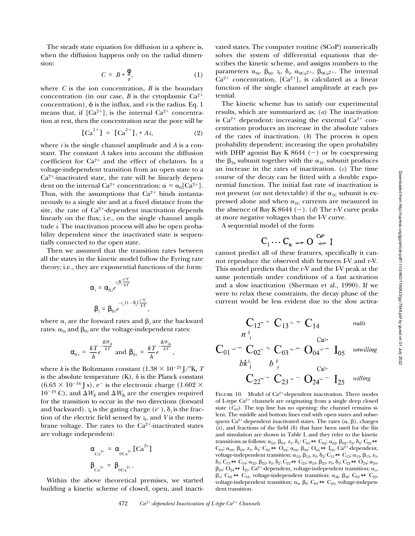The steady state equation for diffusion in a sphere is, when the diffusion happens only on the radial dimension:

$$
C = B + \frac{\Phi}{r},\tag{1}
$$

where  $C$  is the ion concentration,  $B$  is the boundary concentration (in our case, *B* is the cytoplasmic  $Ca^{2+}$ concentration),  $\phi$  is the influx, and *r* is the radius. Eq. 1 means that, if  $[Ca^{2+}]$ <sub>*i*</sub> is the internal  $Ca^{2+}$  concentration at rest, then the concentration near the pore will be

$$
[Ca^{2+}] = [Ca^{2+}]_{i} + Ai,
$$
 (2)

where *i* is the single channel amplitude and *A* is a constant. The constant *A* takes into account the diffusion coefficient for  $Ca^{2+}$  and the effect of chelators. In a voltage-independent transition from an open state to a  $Ca<sup>2+</sup>$ -inactivated state, the rate will be linearly dependent on the internal Ca<sup>2+</sup> concentration:  $\alpha = \alpha_0 [Ca^{2+}]$ . Thus, with the assumptions that  $Ca^{2+}$  binds instantaneously to a single site and at a fixed distance from the site, the rate of  $Ca^{2+}$ -dependent inactivation depends linearly on the flux; i.e., on the single channel amplitude *i*. The inactivation process will also be open probability dependent since the inactivated state is sequentially connected to the open state.

Then we assumed that the transition rates between all the states in the kinetic model follow the Eyring rate theory; i.e., they are exponential functions of the form:

$$
\alpha_i = \alpha_{0i} e^{\frac{z_i \delta_i \frac{e^-V}{kT}}{2}}
$$
\n
$$
\beta_i = \beta_{0i} e^{\frac{-z_i (1 - \delta_i) \frac{e^-V}{kT}}{2}},
$$

where  $\alpha_i$  are the forward rates and  $\beta_i$  are the backward rates.  $\alpha_{0i}$  and  $\beta_{0i}$  are the voltage-independent rates:

$$
\alpha_{0i} = \frac{kT}{h}e^{\frac{\Delta W_{if}}{kT}} \text{ and } \beta_{0i} = \frac{kT}{h}e^{\frac{\Delta W_{ib}}{kT}},
$$

where *k* is the Boltzmann constant  $(1.38 \times 10^{-23} \text{ J} / ^{\circ} \text{K}, T)$ is the absolute temperature (K), *h* is the Planck constant  $(6.63 \times 10^{-34} \text{ J s})$ , e<sup>-</sup> is the electronic charge (1.602  $\times$  $10^{-19}$  C), and  $\Delta W_{\text{if}}$  and  $\Delta W_{\text{ib}}$  are the energies required for the transition to occur in the two directions (forward and backward).  $z_i$  is the gating charge  $(e^-)$ ,  $\delta_i$  is the fraction of the electric field sensed by *z*<sup>i</sup> , and *V* is the membrane voltage. The rates to the  $Ca<sup>2+</sup>$ -inactivated states are voltage independent:

$$
\alpha_{Ca^{2+}} = \alpha_{0Ca^{2+}}[Ca^{2+}]
$$
  

$$
\beta_{Ca^{2+}} = \beta_{0Ca^{2+}}.
$$

Within the above theoretical premises, we started building a kinetic scheme of closed, open, and inactivated states. The computer routine (SCoP) numerically solves the system of differential equations that describes the kinetic scheme, and assigns numbers to the parameters  $\alpha_{0i}$ ,  $\beta_{0i}$ ,  $z_i$ ,  $\delta_i$ ,  $\alpha_{0Ca^{2+}}$ ,  $\beta_{0Ca^{2+}}$ . The internal  $Ca^{2+}$  concentration,  $[Ca^{2+}]$ , is calculated as a linear function of the single channel amplitude at each potential.

The kinetic scheme has to satisfy our experimental results, which are summarized as: (*a*) The inactivation is  $Ca^{2+}$  dependent: increasing the external  $Ca^{2+}$  concentration produces an increase in the absolute values of the rates of inactivation. (*b*) The process is open probability dependent: increasing the open probability with DHP agonist Bay K 8644  $(-)$  or by coexpressing the  $\beta_{2a}$  subunit together with the  $\alpha_{1c}$  subunit produces an increase in the rates of inactivation. (*c*) The time course of the decay can be fitted with a double exponential function. The initial fast rate of inactivation is not present (or not detectable) if the  $\alpha_{1C}$  subunit is expressed alone and when  $\alpha_{1C}$  currents are measured in the absence of Bay K  $8644$  (-). (*d*) The r-V curve peaks at more negative voltages than the I-V curve.

A sequential model of the form

$$
C_1 \cdots C_n \xrightarrow{Ca^{2^*}} I
$$

cannot predict all of these features, specifically it cannot reproduce the observed shift between I-V and r-V. This model predicts that the r-V and the I-V peak at the same potentials under conditions of a fast activation and a slow inactivation (Sherman et al., 1990). If we were to relax these constraints, the decay phase of the current would be less evident due to the slow activa-

$$
C_{12} = C_{13} = C_{14} \qquad \text{nulls}
$$

$$
C_{01} - C_{02} = C_{03} - O_{04} = I_{05}
$$
  

$$
bk_1^i
$$
 $b_1^i$   
 $C_{22} - C_{23} = O_{24} = I_{25}$  *willing*

FIGURE 10. Model of Ca<sup>2+</sup>-dependent inactivation. Three modes of L-type  $Ca^{2+}$  channels are originating from a single deep closed state  $(C_{01})$ . The top line has no opening: the channel remains silent. The middle and bottom lines end with open states and subsequent Ca<sup>2+</sup>-dependent inactivated states. The rates  $(\alpha, \beta)$ , charges  $(z)$ , and fractions of the field  $(\delta)$  that have been used for the fits and simulation are shown in Table I, and they refer to the kinetic transitions as follows:  $\alpha_{01}$ ,  $\beta_{01}$ ,  $z_1$ ,  $\delta_1$ :  $C_{01} \leftrightarrow C_{02}$ ;  $\alpha_{02}$ ,  $\beta_{02}$ ,  $z_2$ ,  $\delta_2$ :  $C_{02} \leftrightarrow$  $C_{03}$ ;  $\alpha_{03}$ ,  $\beta_{03}$ ,  $z_3$ ,  $\delta_3$ :  $C_{03} \leftrightarrow O_{04}$ ;  $\alpha_{04}$ ,  $\beta_{04}$ :  $O_{04} \leftrightarrow I_{05}$ ,  $Ca^{2+}$ -dependent, voltage-independent transition;  $\alpha_{12}$ ,  $\beta_{12}$ ,  $z_2$ ,  $\delta_2$ :  $C_{12} \leftrightarrow C_{13}$ ;  $\alpha_{13}$ ,  $\beta_{13}$ ,  $z_3$ ,  $\delta_3: C_{13} \leftrightarrow C_{14}; \alpha_{22}, \beta_{22}, z_2, \delta_2: C_{22} \leftrightarrow C_{23}; \alpha_{23}, \beta_{23}, z_3, \delta_3: C_{23} \leftrightarrow O_{24}; \alpha_{24},$  $\beta_{24}: O_{24} \leftrightarrow I_{25}$ ,  $Ca^{2+}$ -dependent, voltage-independent transition;  $\alpha_n$ ,  $\beta_n: C_{02} \leftrightarrow C_{12}$ , voltage-independent transition;  $\alpha_{bk}$ ,  $\beta_{bk}: C_{02} \leftrightarrow C_{22}$ , voltage-independent transition;  $\alpha_b$ ,  $\beta_b$ :  $C_{03} \leftrightarrow C_{23}$ , voltage-independent transition.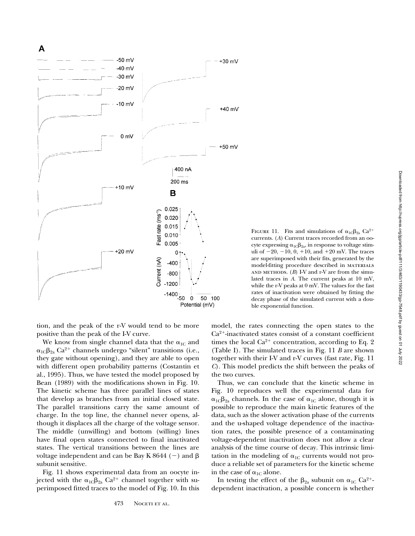A



tion, and the peak of the r-V would tend to be more positive than the peak of the I-V curve.

We know from single channel data that the  $\alpha_{1C}$  and  $\alpha_{1C}\beta_{2a}$  Ca<sup>2+</sup> channels undergo "silent" transitions (i.e., they gate without opening), and they are able to open with different open probability patterns (Costantin et al., 1995). Thus, we have tested the model proposed by Bean (1989) with the modifications shown in Fig. 10. The kinetic scheme has three parallel lines of states that develop as branches from an initial closed state. The parallel transitions carry the same amount of charge. In the top line, the channel never opens, although it displaces all the charge of the voltage sensor. The middle (unwilling) and bottom (willing) lines have final open states connected to final inactivated states. The vertical transitions between the lines are voltage independent and can be Bay K 8644 (-) and  $\beta$ subunit sensitive.

Fig. 11 shows experimental data from an oocyte injected with the  $\alpha_{1C}\beta_{2a}$  Ca<sup>2+</sup> channel together with superimposed fitted traces to the model of Fig. 10. In this model, the rates connecting the open states to the  $Ca<sup>2+</sup>$ -inactivated states consist of a constant coefficient times the local  $Ca^{2+}$  concentration, according to Eq. 2 (Table I). The simulated traces in Fig. 11 *B* are shown together with their I-V and r-V curves (fast rate, Fig. 11 *C*). This model predicts the shift between the peaks of the two curves.

ble exponential function.

FIGURE 11. Fits and simulations of  $\alpha_{1C}\beta_{2a}$  Ca<sup>2+</sup> currents. (*A*) Current traces recorded from an oocyte expressing  $\alpha_{1C}\beta_{2a}$ , in response to voltage stimuli of  $-20$ ,  $-10$ , 0,  $+10$ , and  $+20$  mV. The traces are superimposed with their fits, generated by the model-fitting procedure described in materials AND METHODS.  $(B)$  I-V and r-V are from the simulated traces in *A*. The current peaks at 10 mV, while the r-V peaks at 0 mV. The values for the fast rates of inactivation were obtained by fitting the decay phase of the simulated current with a dou-

Thus, we can conclude that the kinetic scheme in Fig. 10 reproduces well the experimental data for  $\alpha_{1C}\beta_{2a}$  channels. In the case of  $\alpha_{1C}$  alone, though it is possible to reproduce the main kinetic features of the data, such as the slower activation phase of the currents and the u-shaped voltage dependence of the inactivation rates, the possible presence of a contaminating voltage-dependent inactivation does not allow a clear analysis of the time course of decay. This intrinsic limitation in the modeling of  $\alpha_{1C}$  currents would not produce a reliable set of parameters for the kinetic scheme in the case of  $\alpha_{1C}$  alone.

In testing the effect of the  $\beta_{2a}$  subunit on  $\alpha_{1c}$  Ca<sup>2+</sup>dependent inactivation, a possible concern is whether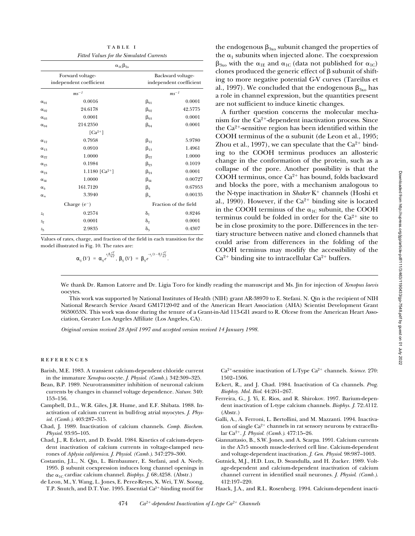Downloaded from http://rupress.org/jgp/article-pdf/111/3463/1190433/gp-7548.pdf by guest on 01 July 2022 Downloaded from http://rupress.org/jgp/article-pdf/111/3/463/1190433/gp-7548.pdf by guest on 01 July 2022

| TABLE I                                  |
|------------------------------------------|
| Fitted Values for the Simulated Currents |

| $\alpha_{1C}\beta_{2a}$                     |              |                                              |  |
|---------------------------------------------|--------------|----------------------------------------------|--|
| Forward voltage-<br>independent coefficient |              | Backward voltage-<br>independent coefficient |  |
| $ms^{-1}$                                   |              | $ms^{-1}$                                    |  |
| 0.0016                                      | $\beta_{01}$ | 0.0001                                       |  |
| 24.6178                                     | $\beta_{02}$ | 42.5775                                      |  |
| 0.0001                                      | $\beta_{03}$ | 0.0001                                       |  |
| 214.2350                                    | $\beta_{04}$ | 0.0001                                       |  |
| $\lceil Ca^{2+} \rceil$                     |              |                                              |  |
| 0.7958                                      | $\beta_{12}$ | 5.9780                                       |  |
| 0.0910                                      | $\beta_{13}$ | 1.4961                                       |  |
| 1.0000                                      | $\beta_{22}$ | 1.0000                                       |  |
| 0.1984                                      | $\beta_{23}$ | 0.1019                                       |  |
| 1.1180 $\lceil Ca^{2+} \rceil$              | $\beta_{24}$ | 0.0001                                       |  |
| 1.0000                                      | $\beta_{bk}$ | 0.00727                                      |  |
| 161.7120                                    | $\beta_{b}$  | 0.67953                                      |  |
| 3.3940                                      | $\beta_n$    | 0.00135                                      |  |
| Charge $(e^-)$                              |              | Fraction of the field                        |  |
| 0.2574                                      | $\delta_1$   | 0.8246                                       |  |
| 0.0001                                      | $\delta_2$   | 0.0001                                       |  |
| 2.9835                                      | $\delta_3$   | 0.4307                                       |  |
|                                             |              |                                              |  |

Values of rates, charge, and fraction of the field in each transition for the model illustrated in Fig. 10. The rates are:

$$
\alpha_{ij}(V) = \alpha_{ij} e^{\frac{z_i \delta_i e^V}{2}} , \beta_{ij}(V) = \beta_{ij} e^{\frac{-z_j (1-\delta_j) \frac{e^V}{kT}}{2}}.
$$

the endogenous  $\beta_{3x0}$  subunit changed the properties of the  $\alpha_1$  subunits when injected alone. The coexpression  $\beta_{3x0}$  with the  $\alpha_{1E}$  and  $\alpha_{1C}$  (data not published for  $\alpha_{1C}$ ) clones produced the generic effect of  $\beta$  subunit of shifting to more negative potential G-V curves (Tareilus et al., 1997). We concluded that the endogenous  $\beta_{3x0}$  has a role in channel expression, but the quantities present are not sufficient to induce kinetic changes.

A further question concerns the molecular mechanism for the  $Ca^{2+}$ -dependent inactivation process. Since the  $Ca^{2+}$ -sensitive region has been identified within the COOH terminus of the  $\alpha$  subunit (de Leon et al., 1995; Zhou et al., 1997), we can speculate that the  $Ca^{2+}$  binding to the COOH terminus produces an allosteric change in the conformation of the protein, such as a collapse of the pore. Another possibility is that the COOH terminus, once  $Ca^{2+}$  has bound, folds backward and blocks the pore, with a mechanism analogous to the N-type inactivation in *Shaker* K<sup>+</sup> channels (Hoshi et al., 1990). However, if the  $Ca^{2+}$  binding site is located in the COOH terminus of the  $\alpha_{1C}$  subunit, the COOH terminus could be folded in order for the  $Ca^{2+}$  site to be in close proximity to the pore. Differences in the tertiary structure between native and cloned channels that could arise from differences in the folding of the COOH terminus may modify the accessibility of the  $Ca^{2+}$  binding site to intracellular  $Ca^{2+}$  buffers.

We thank Dr. Ramon Latorre and Dr. Ligia Toro for kindly reading the manuscript and Ms. Jin for injection of *Xenopus laevis* oocytes.

This work was supported by National Institutes of Health (NIH) grant AR-38970 to E. Stefani. N. Qin is the recipient of NIH National Research Service Award GM17120-02 and of the American Heart Association (AHA) Scientist Development Grant 9630053N. This work was done during the tenure of a Grant-in-Aid 113-GI1 award to R. Olcese from the American Heart Association, Greater Los Angeles Affiliate (Los Angeles, CA).

*Original version received 28 April 1997 and accepted version received 14 January 1998.*

#### **REFERENCES**

- Barish, M.E. 1983. A transient calcium-dependent chloride current in the immature *Xenopus* oocyte. *J. Physiol. (Camb.)*. 342:309–325.
- Bean, B.P. 1989. Neurotransmitter inhibition of neuronal calcium currents by changes in channel voltage dependence. *Nature*. 340: 153–156.
- Campbell, D.L., W.R. Giles, J.R. Hume, and E.F. Shibata. 1988. Inactivation of calcium current in bull-frog atrial myocytes. *J. Physiol. (Camb.)*. 403:287–315.
- Chad, J. 1989. Inactivation of calcium channels. *Comp. Biochem. Physiol.* 93:95–105.
- Chad, J., R. Eckert, and D. Ewald. 1984. Kinetics of calcium-dependent inactivation of calcium currents in voltage-clamped neurones of *Aplysia californica*. *J. Physiol*. *(Camb.)*. 347:279–300.
- Costantin, J.L., N. Qin, L. Birnbaumer, E. Stefani, and A. Neely. 1995.  $β$  subunit coexpression induces long channel openings in the  $\alpha_{1C}$  cardiac calcium channel. *Biophys. J.* 68:A258. (Abstr.)
- de Leon, M., Y. Wang, L. Jones, E. Perez-Reyes, X. Wei, T.W. Soong, T.P. Snutch, and D.T. Yue. 1995. Essential  $Ca^{2+}$ -binding motif for

Ca<sup>2+</sup>-sensitive inactivation of L-Type Ca<sup>2+</sup> channels. *Science*. 270: 1502–1506.

- Eckert, R., and J. Chad. 1984. Inactivation of Ca channels. *Prog. Biophsy. Mol. Biol*. 44:261–267.
- Ferreira, G., J. Yi, E. Rios, and R. Shirokov. 1997. Barium-dependent inactivation of L-type calcium channels. *Biophys. J.* 72:*A*112. (Abstr.)
- Galli, A., A. Ferroni, L. Bertollini, and M. Mazzanti. 1994. Inactivation of single  $Ca^{2+}$  channels in rat sensory neurons by extracellular Ca2<sup>1</sup>. *J. Physiol. (Camb.)*. 477:15–26.
- Giannattasio, B., S.W. Jones, and A. Scarpa. 1991. Calcium currents in the A7r5 smooth muscle-derived cell line. Calcium-dependent and voltage-dependent inactivation. *J. Gen. Physiol*. 98:987–1003.
- Gutnick, M.J., H.D. Lux, D. Swandulla, and H. Zucker. 1989. Voltage-dependent and calcium-dependent inactivation of calcium channel current in identified snail neurones. *J. Physiol*. *(Camb.)*. 412:197–220.
- Haack, J.A., and R.L. Rosenberg. 1994. Calcium-dependent inacti-